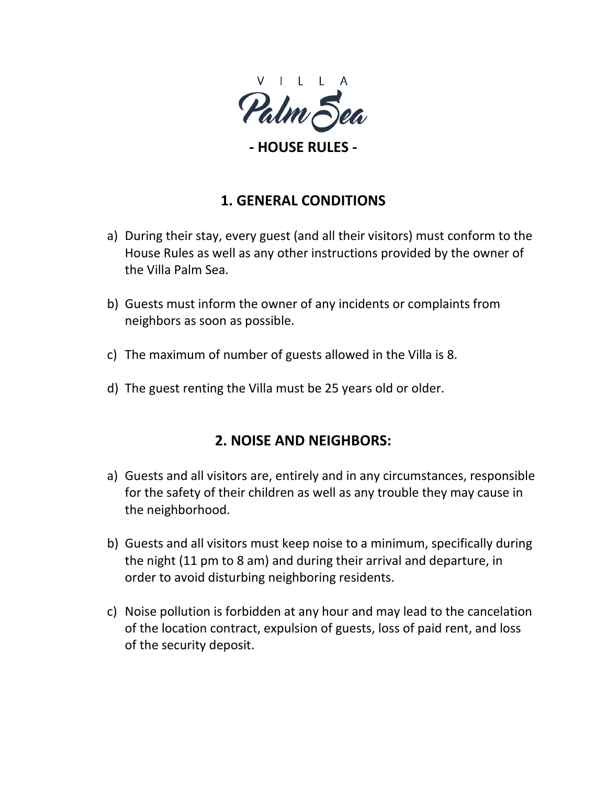

**- HOUSE RULES -**

# **1. GENERAL CONDITIONS**

- a) During their stay, every guest (and all their visitors) must conform to the House Rules as well as any other instructions provided by the owner of the Villa Palm Sea.
- b) Guests must inform the owner of any incidents or complaints from neighbors as soon as possible.
- c) The maximum of number of guests allowed in the Villa is 8.
- d) The guest renting the Villa must be 25 years old or older.

## **2. NOISE AND NEIGHBORS:**

- a) Guests and all visitors are, entirely and in any circumstances, responsible for the safety of their children as well as any trouble they may cause in the neighborhood.
- b) Guests and all visitors must keep noise to a minimum, specifically during the night (11 pm to 8 am) and during their arrival and departure, in order to avoid disturbing neighboring residents.
- c) Noise pollution is forbidden at any hour and may lead to the cancelation of the location contract, expulsion of guests, loss of paid rent, and loss of the security deposit.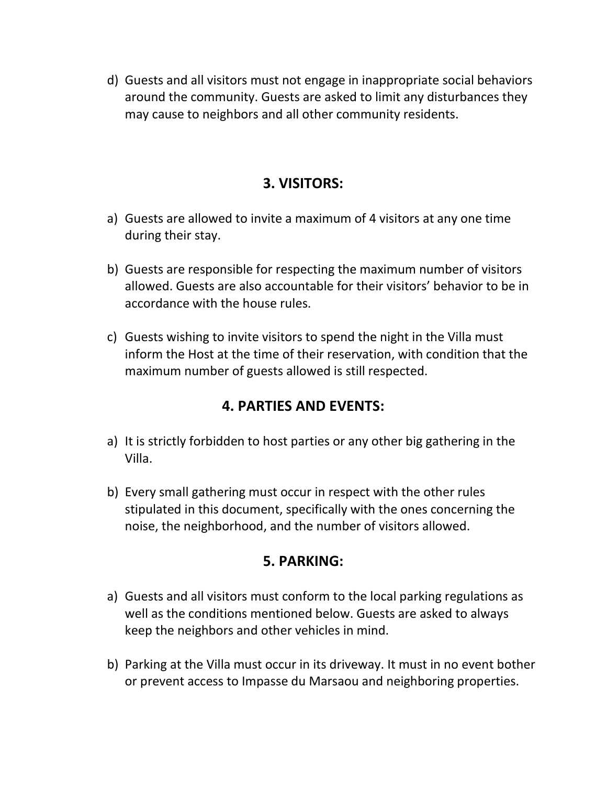d) Guests and all visitors must not engage in inappropriate social behaviors around the community. Guests are asked to limit any disturbances they may cause to neighbors and all other community residents.

#### **3. VISITORS:**

- a) Guests are allowed to invite a maximum of 4 visitors at any one time during their stay.
- b) Guests are responsible for respecting the maximum number of visitors allowed. Guests are also accountable for their visitors' behavior to be in accordance with the house rules.
- c) Guests wishing to invite visitors to spend the night in the Villa must inform the Host at the time of their reservation, with condition that the maximum number of guests allowed is still respected.

#### **4. PARTIES AND EVENTS:**

- a) It is strictly forbidden to host parties or any other big gathering in the Villa.
- b) Every small gathering must occur in respect with the other rules stipulated in this document, specifically with the ones concerning the noise, the neighborhood, and the number of visitors allowed.

#### **5. PARKING:**

- a) Guests and all visitors must conform to the local parking regulations as well as the conditions mentioned below. Guests are asked to always keep the neighbors and other vehicles in mind.
- b) Parking at the Villa must occur in its driveway. It must in no event bother or prevent access to Impasse du Marsaou and neighboring properties.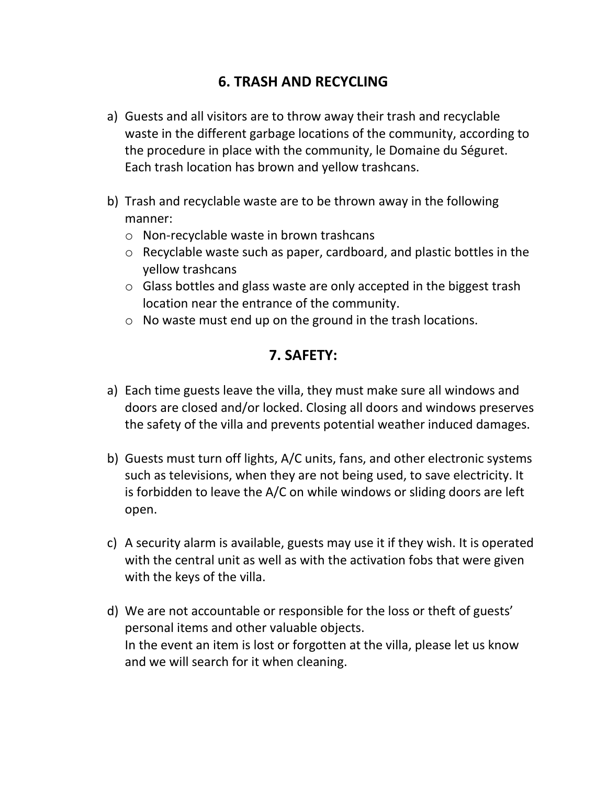## **6. TRASH AND RECYCLING**

- a) Guests and all visitors are to throw away their trash and recyclable waste in the different garbage locations of the community, according to the procedure in place with the community, le Domaine du Séguret. Each trash location has brown and yellow trashcans.
- b) Trash and recyclable waste are to be thrown away in the following manner:
	- o Non-recyclable waste in brown trashcans
	- o Recyclable waste such as paper, cardboard, and plastic bottles in the yellow trashcans
	- o Glass bottles and glass waste are only accepted in the biggest trash location near the entrance of the community.
	- o No waste must end up on the ground in the trash locations.

#### **7. SAFETY:**

- a) Each time guests leave the villa, they must make sure all windows and doors are closed and/or locked. Closing all doors and windows preserves the safety of the villa and prevents potential weather induced damages.
- b) Guests must turn off lights, A/C units, fans, and other electronic systems such as televisions, when they are not being used, to save electricity. It is forbidden to leave the A/C on while windows or sliding doors are left open.
- c) A security alarm is available, guests may use it if they wish. It is operated with the central unit as well as with the activation fobs that were given with the keys of the villa.
- d) We are not accountable or responsible for the loss or theft of guests' personal items and other valuable objects. In the event an item is lost or forgotten at the villa, please let us know and we will search for it when cleaning.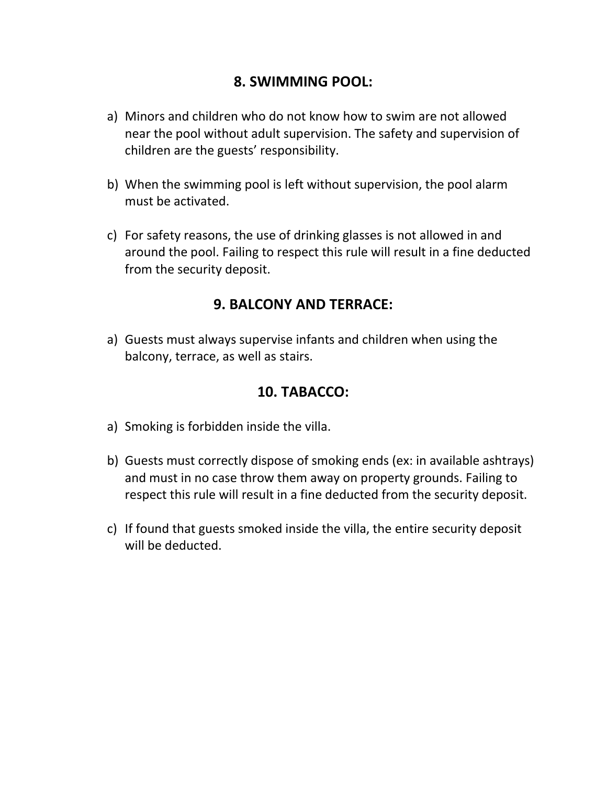### **8. SWIMMING POOL:**

- a) Minors and children who do not know how to swim are not allowed near the pool without adult supervision. The safety and supervision of children are the guests' responsibility.
- b) When the swimming pool is left without supervision, the pool alarm must be activated.
- c) For safety reasons, the use of drinking glasses is not allowed in and around the pool. Failing to respect this rule will result in a fine deducted from the security deposit.

#### **9. BALCONY AND TERRACE:**

a) Guests must always supervise infants and children when using the balcony, terrace, as well as stairs.

### **10. TABACCO:**

- a) Smoking is forbidden inside the villa.
- b) Guests must correctly dispose of smoking ends (ex: in available ashtrays) and must in no case throw them away on property grounds. Failing to respect this rule will result in a fine deducted from the security deposit.
- c) If found that guests smoked inside the villa, the entire security deposit will be deducted.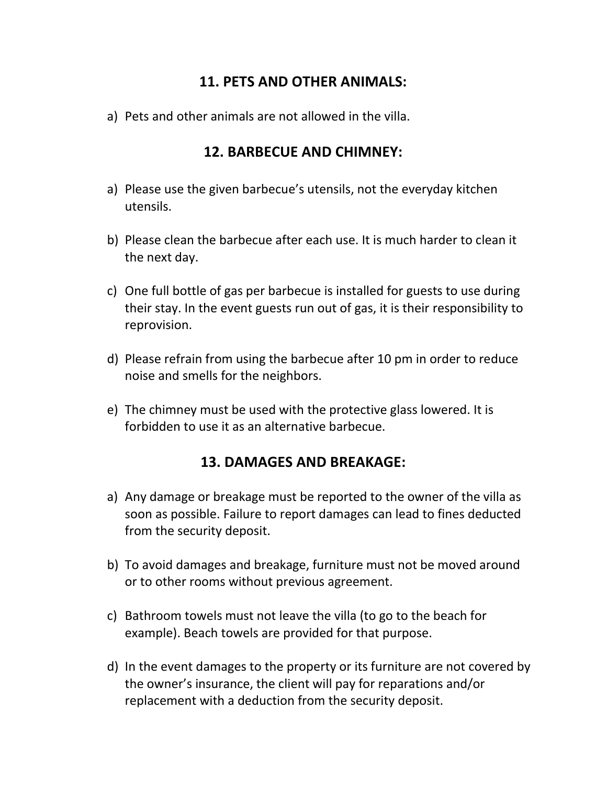### **11. PETS AND OTHER ANIMALS:**

a) Pets and other animals are not allowed in the villa.

#### **12. BARBECUE AND CHIMNEY:**

- a) Please use the given barbecue's utensils, not the everyday kitchen utensils.
- b) Please clean the barbecue after each use. It is much harder to clean it the next day.
- c) One full bottle of gas per barbecue is installed for guests to use during their stay. In the event guests run out of gas, it is their responsibility to reprovision.
- d) Please refrain from using the barbecue after 10 pm in order to reduce noise and smells for the neighbors.
- e) The chimney must be used with the protective glass lowered. It is forbidden to use it as an alternative barbecue.

#### **13. DAMAGES AND BREAKAGE:**

- a) Any damage or breakage must be reported to the owner of the villa as soon as possible. Failure to report damages can lead to fines deducted from the security deposit.
- b) To avoid damages and breakage, furniture must not be moved around or to other rooms without previous agreement.
- c) Bathroom towels must not leave the villa (to go to the beach for example). Beach towels are provided for that purpose.
- d) In the event damages to the property or its furniture are not covered by the owner's insurance, the client will pay for reparations and/or replacement with a deduction from the security deposit.